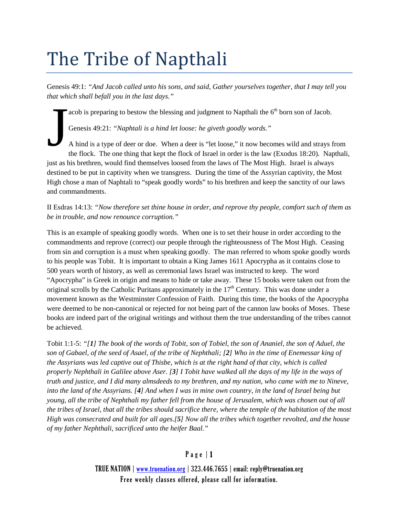# The Tribe of Napthali

Genesis 49:1: *"And Jacob called unto his sons, and said, Gather yourselves together, that I may tell you that which shall befall you in the last days."*

acob is preparing to bestow the blessing and judgment to Napthali the  $6<sup>th</sup>$  born son of Jacob.

Genesis 49:21: *"Naphtali is a hind let loose: he giveth goodly words."*

A hind is a type of deer or doe. When a deer is "let loose," it now becomes wild and strays from the flock. The one thing that kept the flock of Israel in order is the law (Exodus 18:20). Napthali, just as his brethren, would find themselves loosed from the laws of The Most High. Israel is always destined to be put in captivity when we transgress. During the time of the Assyrian captivity, the Most High chose a man of Naphtali to "speak goodly words" to his brethren and keep the sanctity of our laws and commandments. J

II Esdras 14:13: *"Now therefore set thine house in order, and reprove thy people, comfort such of them as be in trouble, and now renounce corruption."*

This is an example of speaking goodly words. When one is to set their house in order according to the commandments and reprove (correct) our people through the righteousness of The Most High. Ceasing from sin and corruption is a must when speaking goodly. The man referred to whom spoke goodly words to his people was Tobit. It is important to obtain a King James 1611 Apocrypha as it contains close to 500 years worth of history, as well as ceremonial laws Israel was instructed to keep. The word "Apocrypha" is Greek in origin and means to hide or take away. These 15 books were taken out from the original scrolls by the Catholic Puritans approximately in the  $17<sup>th</sup>$  Century. This was done under a movement known as the Westminster Confession of Faith. During this time, the books of the Apocrypha were deemed to be non-canonical or rejected for not being part of the cannon law books of Moses. These books are indeed part of the original writings and without them the true understanding of the tribes cannot be achieved.

Tobit 1:1-5: *"[1] The book of the words of Tobit, son of Tobiel, the son of Ananiel, the son of Aduel, the son of Gabael, of the seed of Asael, of the tribe of Nephthali; [2] Who in the time of Enemessar king of the Assyrians was led captive out of Thisbe, which is at the right hand of that city, which is called properly Nephthali in Galilee above Aser. [3] I Tobit have walked all the days of my life in the ways of truth and justice, and I did many almsdeeds to my brethren, and my nation, who came with me to Nineve, into the land of the Assyrians. [4] And when I was in mine own country, in the land of Israel being but young, all the tribe of Nephthali my father fell from the house of Jerusalem, which was chosen out of all the tribes of Israel, that all the tribes should sacrifice there, where the temple of the habitation of the most High was consecrated and built for all ages.[5] Now all the tribes which together revolted, and the house of my father Nephthali, sacrificed unto the heifer Baal."*

## Page | 1

TRUE NATION | [www.truenation.org](http://www.truenation.org/) | 323.446.7655 | email: reply@truenation.org Free weekly classes offered, please call for information.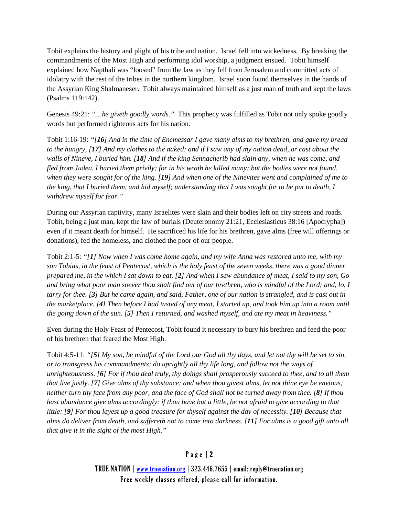Tobit explains the history and plight of his tribe and nation. Israel fell into wickedness. By breaking the commandments of the Most High and performing idol worship, a judgment ensued. Tobit himself explained how Napthali was "loosed" from the law as they fell from Jerusalem and committed acts of idolatry with the rest of the tribes in the northern kingdom. Israel soon found themselves in the hands of the Assyrian King Shalmaneser. Tobit always maintained himself as a just man of truth and kept the laws (Psalms 119:142).

Genesis 49:21: *"…he giveth goodly words."* This prophecy was fulfilled as Tobit not only spoke goodly words but performed righteous acts for his nation.

Tobit 1:16-19: *"[16] And in the time of Enemessar I gave many alms to my brethren, and gave my bread to the hungry, [17] And my clothes to the naked: and if I saw any of my nation dead, or cast about the walls of Nineve, I buried him. [18] And if the king Sennacherib had slain any, when he was come, and fled from Judea, I buried them privily; for in his wrath he killed many; but the bodies were not found, when they were sought for of the king. [19] And when one of the Ninevites went and complained of me to the king, that I buried them, and hid myself; understanding that I was sought for to be put to death, I withdrew myself for fear."*

During our Assyrian captivity, many Israelites were slain and their bodies left on city streets and roads. Tobit, being a just man, kept the law of burials (Deuteronomy 21:21, Ecclesiasticus 38:16 [Apocrypha]) even if it meant death for himself. He sacrificed his life for his brethren, gave alms (free will offerings or donations), fed the homeless, and clothed the poor of our people.

Tobit 2:1-5: *"[1] Now when I was come home again, and my wife Anna was restored unto me, with my son Tobias, in the feast of Pentecost, which is the holy feast of the seven weeks, there was a good dinner prepared me, in the which I sat down to eat. [2] And when I saw abundance of meat, I said to my son, Go and bring what poor man soever thou shalt find out of our brethren, who is mindful of the Lord; and, lo, I tarry for thee. [3] But he came again, and said, Father, one of our nation is strangled, and is cast out in the marketplace. [4] Then before I had tasted of any meat, I started up, and took him up into a room until the going down of the sun. [5] Then I returned, and washed myself, and ate my meat in heaviness."*

Even during the Holy Feast of Pentecost, Tobit found it necessary to bury his brethren and feed the poor of his brethren that feared the Most High.

Tobit 4:5-11: *"[5] My son, be mindful of the Lord our God all thy days, and let not thy will be set to sin, or to transgress his commandments: do uprightly all thy life long, and follow not the ways of unrighteousness. [6] For if thou deal truly, thy doings shall prosperously succeed to thee, and to all them that live justly. [7] Give alms of thy substance; and when thou givest alms, let not thine eye be envious, neither turn thy face from any poor, and the face of God shall not be turned away from thee. [8] If thou hast abundance give alms accordingly: if thou have but a little, be not afraid to give according to that little: [9] For thou layest up a good treasure for thyself against the day of necessity. [10] Because that alms do deliver from death, and suffereth not to come into darkness. [11] For alms is a good gift unto all that give it in the sight of the most High."*

#### Page | 2

TRUE NATION | [www.truenation.org](http://www.truenation.org/) | 323.446.7655 | email: reply@truenation.org Free weekly classes offered, please call for information.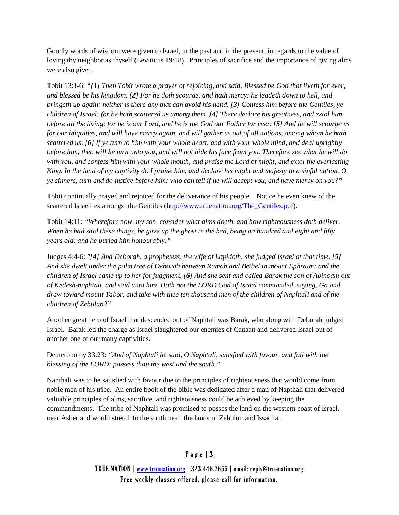Goodly words of wisdom were given to Israel, in the past and in the present, in regards to the value of loving thy neighbor as thyself (Leviticus 19:18). Principles of sacrifice and the importance of giving alms were also given.

Tobit 13:1-6: *"[1] Then Tobit wrote a prayer of rejoicing, and said, Blessed be God that liveth for ever, and blessed be his kingdom. [2] For he doth scourge, and hath mercy: he leadeth down to hell, and bringeth up again: neither is there any that can avoid his hand. [3] Confess him before the Gentiles, ye children of Israel: for he hath scattered us among them. [4] There declare his greatness, and extol him before all the living: for he is our Lord, and he is the God our Father for ever. [5] And he will scourge us for our iniquities, and will have mercy again, and will gather us out of all nations, among whom he hath scattered us. [6] If ye turn to him with your whole heart, and with your whole mind, and deal uprightly before him, then will he turn unto you, and will not hide his face from you. Therefore see what he will do with you, and confess him with your whole mouth, and praise the Lord of might, and extol the everlasting King. In the land of my captivity do I praise him, and declare his might and majesty to a sinful nation. O ye sinners, turn and do justice before him: who can tell if he will accept you, and have mercy on you?"*

Tobit continually prayed and rejoiced for the deliverance of his people. Notice he even knew of the scattered Israelites amongst the Gentiles [\(http://www.truenation.org/The\\_Gentiles.pdf\)](http://www.truenation.org/The_Gentiles.pdf).

Tobit 14:11: *"Wherefore now, my son, consider what alms doeth, and how righteousness doth deliver. When he had said these things, he gave up the ghost in the bed, being an hundred and eight and fifty years old; and he buried him honourably."*

Judges 4:4-6: *"[4] And Deborah, a prophetess, the wife of Lapidoth, she judged Israel at that time. [5] And she dwelt under the palm tree of Deborah between Ramah and Bethel in mount Ephraim: and the children of Israel came up to her for judgment. [6] And she sent and called Barak the son of Abinoam out of Kedesh-naphtali, and said unto him, Hath not the LORD God of Israel commanded, saying, Go and draw toward mount Tabor, and take with thee ten thousand men of the children of Naphtali and of the children of Zebulun?"*

Another great hero of Israel that descended out of Naphtali was Barak, who along with Deborah judged Israel. Barak led the charge as Israel slaughtered our enemies of Canaan and delivered Israel out of another one of our many captivities.

Deuteronomy 33:23: *"And of Naphtali he said, O Naphtali, satisfied with favour, and full with the blessing of the LORD: possess thou the west and the south."*

Napthali was to be satisfied with favour due to the principles of righteousness that would come from noble men of his tribe. An entire book of the bible was dedicated after a man of Napthali that delivered valuable principles of alms, sacrifice, and righteousness could be achieved by keeping the commandments. The tribe of Naphtali was promised to posses the land on the western coast of Israel, near Asher and would stretch to the south near the lands of Zebulon and Issachar.

#### Page | 3

TRUE NATION | [www.truenation.org](http://www.truenation.org/) | 323.446.7655 | email: reply@truenation.org Free weekly classes offered, please call for information.